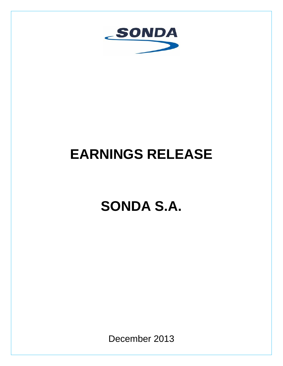

# **EARNINGS RELEASE**

# **SONDA S.A.**

December 2013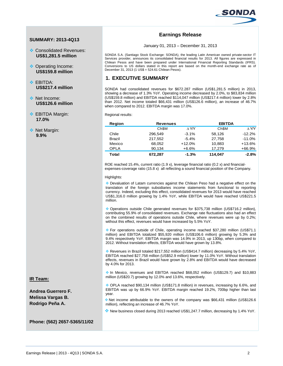

## **SUMMARY: 2013-4Q13**

- Consolidated Revenues: **US\$1,281.5 million**
- ◆ Operating Income: **US\$159.8 million**
- ❖ FRITDA· **US\$217.4 million**
- ◆ Net Income: **US\$126.6 million**
- **EBITDA Margin: 17.0%**
- ❖ Net Margin: **9.9%**

**IR Team:**

**Andrea Guerrero F. Melissa Vargas B. Rodrigo Peña A.**

# **Earnings Release**

#### January 01, 2013 – December 31, 2013

SONDA S.A. (Santiago Stock Exchange: SONDA), the leading Latin American owned private-sector IT Services provider, announces its consolidated financial results for 2013. All figures are expressed in Chilean Pesos and have been prepared under International Financial Reporting Standards (IFRS). Conversions to US dollars stated in this report are based on the month-end exchange rate as of December 31, 2013 (1 US\$ = 524.61 Chilean Pesos).

# **1. EXECUTIVE SUMMARY**

SONDA had consolidated revenues for \$672.287 million (US\$1,281.5 million) in 2013, showing a decrease of 1.3% YoY. Operating income decreased by 2.0%, to \$83,834 million (US\$159.8 million) and EBITDA reached \$114,047 million (US\$217.4 million) lower by 2.8% than 2012. Net income totaled \$66,431 million (US\$126.6 million), an increase of 46.7% when compared to 2012. EBITDA margin was 17.0%.

Regional results:

| Region        | <b>Revenues</b>   | <b>EBITDA</b> |                   |              |
|---------------|-------------------|---------------|-------------------|--------------|
|               | Ch <sub>\$M</sub> | $\wedge$ Y/Y  | Ch <sub>\$M</sub> | $\wedge$ Y/Y |
| Chile         | 296.549           | $-3.1%$       | 58,126            | $-12.2%$     |
| <b>Brazil</b> | 217.552           | $-5.4%$       | 27,758            | $-11.0%$     |
| Mexico        | 68,052            | $+12.0%$      | 10,883            | $+13.6%$     |
| <b>OPLA</b>   | 90,134            | +6.6%         | 17.279            | $+66.9%$     |
| Total         | 672,287           | $-1.3%$       | 114.047           | $-2.8%$      |

ROE reached 15.4%, current ratio (1.9 x), leverage financial ratio (0.2 x) and financialexpenses-coverage ratio (15.8 x) all reflecting a sound financial position of the Company.

#### Highlights:

 Devaluation of Latam currencies against the Chilean Peso had a negative effect on the translation of the foreign subsidiaries income statements from functional to reporting currency. Indeed, excluding this effect, consolidated revenues for 2013 would have reached US\$1,316.0 million growing by 1.4% YoY, while EBITDA would have reached US\$221.5 million.

 Operations outside Chile generated revenues for \$375,738 million (US\$716.2 million), contributing 55.9% of consolidated revenues. Exchange rate fluctuations also had an effect on the combined results of operations outside Chile, where revenues were up by 0.2%; without this effect, revenues would have increased by 5.5% YoY.

 For operations outside of Chile, operating income reached \$37,280 million (US\$71.1 million) and EBITDA totalized \$55,920 million (US\$106.6 million) growing by 5.3% and 9.4% respectively YoY. EBITDA margin was 14.9% in 2013, up 130bp, when compared to 2012. Without translation effects, EBITDA would have grown by 13.8%.

 Revenues in Brazil totaled \$217,552 million (US\$414.7 million) decreasing by 5.4% YoY, EBITDA reached \$27,758 million (US\$52.9 million) lower by 11.0% YoY. Without translation effects, revenues in Brazil would have grown by 2.8% and EBITDA would have decreased by 4.0% for 2013.

 In Mexico, revenues and EBITDA reached \$68,052 million (US\$129.7) and \$10,883 million (US\$20.7) growing by 12.0% and 13.6%, respectively.

 OPLA reached \$90,134 million (US\$171.8 million) in revenues, increasing by 6.6%, and EBITDA was up by 66.9% YoY. EBITDA margin reached 19.2%, 700bp higher than last year.

 Net income attributable to the owners of the company was \$66,431 million (US\$126.6 million), reflecting an increase of 46.7% YoY.

New business closed during 2013 reached US\$1,247.7 million, decreasing by 1.4% YoY.

**Phone: (562) 2657-5365/11/02**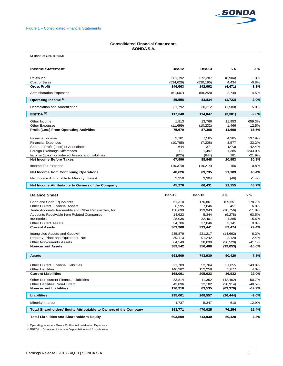

### **Consolidated Financial Statements SONDA S.A.**

Millions of Ch\$ (Ch\$M)

| $-1.3%$<br>681,192<br>672,287<br>(8,904)<br>Revenues<br>Cost of Sales<br>(534, 629)<br>(530, 195)<br>4,434<br>$-0.8%$<br><b>Gross Profit</b><br>146,563<br>142,092<br>(4, 471)<br>-3.1%<br>$-4.5%$<br><b>Administration Expenses</b><br>(61,007)<br>(58, 258)<br>2.749<br>Operating Income <sup>(1)</sup><br>85,556<br>83,834<br>(1, 722)<br>$-2.0%$<br>Depreciation and Amortization<br>31,792<br>30,212<br>$-5.0%$<br>(1,580)<br>EBITDA $(2)$<br>117,348<br>114,047<br>$-2.8%$<br>(3, 301)<br>Other Income<br>1,813<br>659.3%<br>13,766<br>11,953<br><b>Other Expenses</b><br>(11, 699)<br>(10, 232)<br>1.466<br>$-12.5%$<br><b>Profit (Loss) From Operating Activities</b><br>75,670<br>15.5%<br>87,368<br>11,698<br>137.9%<br><b>Financial Income</b><br>3,181<br>7,565<br>4,385<br>$-33.2%$<br><b>Financial Expenses</b><br>(10, 785)<br>(7, 208)<br>3,577<br>$-42.4%$<br>Share of Profit (Loss) of Associates<br>644<br>371<br>(273)<br>1243.0%<br>Foreign Exchange Differences<br>111<br>1,497<br>1,385<br>$-21.9%$<br>Income (Loss) for Indexed Assets and Liabilities<br>(825)<br>(644)<br>181<br><b>Net Income Before Taxes</b><br>67,996<br>88,948<br>20,953<br>30.8%<br>Income Tax Expense<br>(19, 370)<br>(19, 214)<br>156<br>$-0.8%$<br><b>Net Income from Continuing Operations</b><br>48.626<br>69,735<br>21,109<br>43.4%<br>Net Income Attributable to Minority Interest<br>3,350<br>3,304<br>$-1.4%$<br>(46)<br>Net Income Attributable to Owners of the Company<br>45,276<br>21,155<br>46.7%<br>66,431<br><b>Balance Sheet</b><br>$\Delta$ \$<br>$\Delta$ %<br><b>Dec-12</b><br>Dec-13<br>109,551<br>Cash and Cash Equivalents<br>61,310<br>170,861<br>178.7%<br><b>Other Current Financial Assets</b><br>6,595<br>7,046<br>451<br>6.8%<br>158,699<br>139,943<br>$-11.8%$<br>Trade Accounts Receivable and Other Receivables, Net<br>(18, 756)<br><b>Accounts Receivable from Related Companies</b><br>14,623<br>5,344<br>(9,278)<br>$-63.5%$<br>Inventories<br>28,036<br>32,401<br>4,365<br>15.6%<br><b>Other Current Assets</b><br>34,706<br>37,846<br>3,141<br>9.0%<br><b>Current Assets</b><br>303,968<br>393,441<br>89,474<br>29.4%<br>Intangibles Assets and Goodwill<br>221,217<br>(14, 662)<br>$-6.2%$<br>235,879<br>2.4%<br>Property, Plant and Equipment, Net<br>89,113<br>91,242<br>2,129<br><b>Other Non-currents Assets</b><br>64,549<br>38,030<br>(26, 520)<br>$-41.1%$<br>389,542<br>$-10.0%$<br><b>Non-current Assets</b><br>350,488<br>(39,053)<br>7.3%<br>693,509<br>743,930<br>50,420<br><b>Assets</b><br>Other Current Financial Liabilities<br>31,055<br>143.0%<br>21,709<br>52.764<br>4.0%<br><b>Other Liabilities</b><br>146,382<br>152,259<br>5,877<br><b>Current Liabilities</b><br>168,091<br>205,023<br>36,932<br>22.0%<br>$-50.7%$<br>Other Non-current Financial Liabilities<br>83,814<br>41,352<br>(42, 462)<br>Other Liabilities, Non-Current<br>43,096<br>22,182<br>-48.5%<br>(20, 914)<br><b>Non-current Liabilities</b><br>126,910<br>-49.9%<br>63,535<br>(63, 376)<br>Liabilities<br>295,001<br>268,557<br>(26, 444)<br>$-9.0\%$<br>Minority Interest<br>4,737<br>5,347<br>610<br>12.9%<br>Total Shareholders' Equity Attributable to Owners of the Company<br>393,771<br>470,025<br>76,254<br>19.4%<br><b>Total Liabilities and Shareholders' Equity</b><br>693,509<br>743,930<br>50,420<br>7.3% | <b>Income Statement</b> | <b>Dec-12</b> | <b>Dec-13</b> | Δ\$ | Δ% |
|---------------------------------------------------------------------------------------------------------------------------------------------------------------------------------------------------------------------------------------------------------------------------------------------------------------------------------------------------------------------------------------------------------------------------------------------------------------------------------------------------------------------------------------------------------------------------------------------------------------------------------------------------------------------------------------------------------------------------------------------------------------------------------------------------------------------------------------------------------------------------------------------------------------------------------------------------------------------------------------------------------------------------------------------------------------------------------------------------------------------------------------------------------------------------------------------------------------------------------------------------------------------------------------------------------------------------------------------------------------------------------------------------------------------------------------------------------------------------------------------------------------------------------------------------------------------------------------------------------------------------------------------------------------------------------------------------------------------------------------------------------------------------------------------------------------------------------------------------------------------------------------------------------------------------------------------------------------------------------------------------------------------------------------------------------------------------------------------------------------------------------------------------------------------------------------------------------------------------------------------------------------------------------------------------------------------------------------------------------------------------------------------------------------------------------------------------------------------------------------------------------------------------------------------------------------------------------------------------------------------------------------------------------------------------------------------------------------------------------------------------------------------------------------------------------------------------------------------------------------------------------------------------------------------------------------------------------------------------------------------------------------------------------------------------------------------------------------------------------------------------------------------------------------------------------------------------------------------------------------------------------------------------------------------------------------------------------------------------------|-------------------------|---------------|---------------|-----|----|
|                                                                                                                                                                                                                                                                                                                                                                                                                                                                                                                                                                                                                                                                                                                                                                                                                                                                                                                                                                                                                                                                                                                                                                                                                                                                                                                                                                                                                                                                                                                                                                                                                                                                                                                                                                                                                                                                                                                                                                                                                                                                                                                                                                                                                                                                                                                                                                                                                                                                                                                                                                                                                                                                                                                                                                                                                                                                                                                                                                                                                                                                                                                                                                                                                                                                                                                                                         |                         |               |               |     |    |
|                                                                                                                                                                                                                                                                                                                                                                                                                                                                                                                                                                                                                                                                                                                                                                                                                                                                                                                                                                                                                                                                                                                                                                                                                                                                                                                                                                                                                                                                                                                                                                                                                                                                                                                                                                                                                                                                                                                                                                                                                                                                                                                                                                                                                                                                                                                                                                                                                                                                                                                                                                                                                                                                                                                                                                                                                                                                                                                                                                                                                                                                                                                                                                                                                                                                                                                                                         |                         |               |               |     |    |
|                                                                                                                                                                                                                                                                                                                                                                                                                                                                                                                                                                                                                                                                                                                                                                                                                                                                                                                                                                                                                                                                                                                                                                                                                                                                                                                                                                                                                                                                                                                                                                                                                                                                                                                                                                                                                                                                                                                                                                                                                                                                                                                                                                                                                                                                                                                                                                                                                                                                                                                                                                                                                                                                                                                                                                                                                                                                                                                                                                                                                                                                                                                                                                                                                                                                                                                                                         |                         |               |               |     |    |
|                                                                                                                                                                                                                                                                                                                                                                                                                                                                                                                                                                                                                                                                                                                                                                                                                                                                                                                                                                                                                                                                                                                                                                                                                                                                                                                                                                                                                                                                                                                                                                                                                                                                                                                                                                                                                                                                                                                                                                                                                                                                                                                                                                                                                                                                                                                                                                                                                                                                                                                                                                                                                                                                                                                                                                                                                                                                                                                                                                                                                                                                                                                                                                                                                                                                                                                                                         |                         |               |               |     |    |
|                                                                                                                                                                                                                                                                                                                                                                                                                                                                                                                                                                                                                                                                                                                                                                                                                                                                                                                                                                                                                                                                                                                                                                                                                                                                                                                                                                                                                                                                                                                                                                                                                                                                                                                                                                                                                                                                                                                                                                                                                                                                                                                                                                                                                                                                                                                                                                                                                                                                                                                                                                                                                                                                                                                                                                                                                                                                                                                                                                                                                                                                                                                                                                                                                                                                                                                                                         |                         |               |               |     |    |
|                                                                                                                                                                                                                                                                                                                                                                                                                                                                                                                                                                                                                                                                                                                                                                                                                                                                                                                                                                                                                                                                                                                                                                                                                                                                                                                                                                                                                                                                                                                                                                                                                                                                                                                                                                                                                                                                                                                                                                                                                                                                                                                                                                                                                                                                                                                                                                                                                                                                                                                                                                                                                                                                                                                                                                                                                                                                                                                                                                                                                                                                                                                                                                                                                                                                                                                                                         |                         |               |               |     |    |
|                                                                                                                                                                                                                                                                                                                                                                                                                                                                                                                                                                                                                                                                                                                                                                                                                                                                                                                                                                                                                                                                                                                                                                                                                                                                                                                                                                                                                                                                                                                                                                                                                                                                                                                                                                                                                                                                                                                                                                                                                                                                                                                                                                                                                                                                                                                                                                                                                                                                                                                                                                                                                                                                                                                                                                                                                                                                                                                                                                                                                                                                                                                                                                                                                                                                                                                                                         |                         |               |               |     |    |
|                                                                                                                                                                                                                                                                                                                                                                                                                                                                                                                                                                                                                                                                                                                                                                                                                                                                                                                                                                                                                                                                                                                                                                                                                                                                                                                                                                                                                                                                                                                                                                                                                                                                                                                                                                                                                                                                                                                                                                                                                                                                                                                                                                                                                                                                                                                                                                                                                                                                                                                                                                                                                                                                                                                                                                                                                                                                                                                                                                                                                                                                                                                                                                                                                                                                                                                                                         |                         |               |               |     |    |
|                                                                                                                                                                                                                                                                                                                                                                                                                                                                                                                                                                                                                                                                                                                                                                                                                                                                                                                                                                                                                                                                                                                                                                                                                                                                                                                                                                                                                                                                                                                                                                                                                                                                                                                                                                                                                                                                                                                                                                                                                                                                                                                                                                                                                                                                                                                                                                                                                                                                                                                                                                                                                                                                                                                                                                                                                                                                                                                                                                                                                                                                                                                                                                                                                                                                                                                                                         |                         |               |               |     |    |
|                                                                                                                                                                                                                                                                                                                                                                                                                                                                                                                                                                                                                                                                                                                                                                                                                                                                                                                                                                                                                                                                                                                                                                                                                                                                                                                                                                                                                                                                                                                                                                                                                                                                                                                                                                                                                                                                                                                                                                                                                                                                                                                                                                                                                                                                                                                                                                                                                                                                                                                                                                                                                                                                                                                                                                                                                                                                                                                                                                                                                                                                                                                                                                                                                                                                                                                                                         |                         |               |               |     |    |
|                                                                                                                                                                                                                                                                                                                                                                                                                                                                                                                                                                                                                                                                                                                                                                                                                                                                                                                                                                                                                                                                                                                                                                                                                                                                                                                                                                                                                                                                                                                                                                                                                                                                                                                                                                                                                                                                                                                                                                                                                                                                                                                                                                                                                                                                                                                                                                                                                                                                                                                                                                                                                                                                                                                                                                                                                                                                                                                                                                                                                                                                                                                                                                                                                                                                                                                                                         |                         |               |               |     |    |
|                                                                                                                                                                                                                                                                                                                                                                                                                                                                                                                                                                                                                                                                                                                                                                                                                                                                                                                                                                                                                                                                                                                                                                                                                                                                                                                                                                                                                                                                                                                                                                                                                                                                                                                                                                                                                                                                                                                                                                                                                                                                                                                                                                                                                                                                                                                                                                                                                                                                                                                                                                                                                                                                                                                                                                                                                                                                                                                                                                                                                                                                                                                                                                                                                                                                                                                                                         |                         |               |               |     |    |
|                                                                                                                                                                                                                                                                                                                                                                                                                                                                                                                                                                                                                                                                                                                                                                                                                                                                                                                                                                                                                                                                                                                                                                                                                                                                                                                                                                                                                                                                                                                                                                                                                                                                                                                                                                                                                                                                                                                                                                                                                                                                                                                                                                                                                                                                                                                                                                                                                                                                                                                                                                                                                                                                                                                                                                                                                                                                                                                                                                                                                                                                                                                                                                                                                                                                                                                                                         |                         |               |               |     |    |
|                                                                                                                                                                                                                                                                                                                                                                                                                                                                                                                                                                                                                                                                                                                                                                                                                                                                                                                                                                                                                                                                                                                                                                                                                                                                                                                                                                                                                                                                                                                                                                                                                                                                                                                                                                                                                                                                                                                                                                                                                                                                                                                                                                                                                                                                                                                                                                                                                                                                                                                                                                                                                                                                                                                                                                                                                                                                                                                                                                                                                                                                                                                                                                                                                                                                                                                                                         |                         |               |               |     |    |
|                                                                                                                                                                                                                                                                                                                                                                                                                                                                                                                                                                                                                                                                                                                                                                                                                                                                                                                                                                                                                                                                                                                                                                                                                                                                                                                                                                                                                                                                                                                                                                                                                                                                                                                                                                                                                                                                                                                                                                                                                                                                                                                                                                                                                                                                                                                                                                                                                                                                                                                                                                                                                                                                                                                                                                                                                                                                                                                                                                                                                                                                                                                                                                                                                                                                                                                                                         |                         |               |               |     |    |
|                                                                                                                                                                                                                                                                                                                                                                                                                                                                                                                                                                                                                                                                                                                                                                                                                                                                                                                                                                                                                                                                                                                                                                                                                                                                                                                                                                                                                                                                                                                                                                                                                                                                                                                                                                                                                                                                                                                                                                                                                                                                                                                                                                                                                                                                                                                                                                                                                                                                                                                                                                                                                                                                                                                                                                                                                                                                                                                                                                                                                                                                                                                                                                                                                                                                                                                                                         |                         |               |               |     |    |
|                                                                                                                                                                                                                                                                                                                                                                                                                                                                                                                                                                                                                                                                                                                                                                                                                                                                                                                                                                                                                                                                                                                                                                                                                                                                                                                                                                                                                                                                                                                                                                                                                                                                                                                                                                                                                                                                                                                                                                                                                                                                                                                                                                                                                                                                                                                                                                                                                                                                                                                                                                                                                                                                                                                                                                                                                                                                                                                                                                                                                                                                                                                                                                                                                                                                                                                                                         |                         |               |               |     |    |
|                                                                                                                                                                                                                                                                                                                                                                                                                                                                                                                                                                                                                                                                                                                                                                                                                                                                                                                                                                                                                                                                                                                                                                                                                                                                                                                                                                                                                                                                                                                                                                                                                                                                                                                                                                                                                                                                                                                                                                                                                                                                                                                                                                                                                                                                                                                                                                                                                                                                                                                                                                                                                                                                                                                                                                                                                                                                                                                                                                                                                                                                                                                                                                                                                                                                                                                                                         |                         |               |               |     |    |
|                                                                                                                                                                                                                                                                                                                                                                                                                                                                                                                                                                                                                                                                                                                                                                                                                                                                                                                                                                                                                                                                                                                                                                                                                                                                                                                                                                                                                                                                                                                                                                                                                                                                                                                                                                                                                                                                                                                                                                                                                                                                                                                                                                                                                                                                                                                                                                                                                                                                                                                                                                                                                                                                                                                                                                                                                                                                                                                                                                                                                                                                                                                                                                                                                                                                                                                                                         |                         |               |               |     |    |
|                                                                                                                                                                                                                                                                                                                                                                                                                                                                                                                                                                                                                                                                                                                                                                                                                                                                                                                                                                                                                                                                                                                                                                                                                                                                                                                                                                                                                                                                                                                                                                                                                                                                                                                                                                                                                                                                                                                                                                                                                                                                                                                                                                                                                                                                                                                                                                                                                                                                                                                                                                                                                                                                                                                                                                                                                                                                                                                                                                                                                                                                                                                                                                                                                                                                                                                                                         |                         |               |               |     |    |
|                                                                                                                                                                                                                                                                                                                                                                                                                                                                                                                                                                                                                                                                                                                                                                                                                                                                                                                                                                                                                                                                                                                                                                                                                                                                                                                                                                                                                                                                                                                                                                                                                                                                                                                                                                                                                                                                                                                                                                                                                                                                                                                                                                                                                                                                                                                                                                                                                                                                                                                                                                                                                                                                                                                                                                                                                                                                                                                                                                                                                                                                                                                                                                                                                                                                                                                                                         |                         |               |               |     |    |
|                                                                                                                                                                                                                                                                                                                                                                                                                                                                                                                                                                                                                                                                                                                                                                                                                                                                                                                                                                                                                                                                                                                                                                                                                                                                                                                                                                                                                                                                                                                                                                                                                                                                                                                                                                                                                                                                                                                                                                                                                                                                                                                                                                                                                                                                                                                                                                                                                                                                                                                                                                                                                                                                                                                                                                                                                                                                                                                                                                                                                                                                                                                                                                                                                                                                                                                                                         |                         |               |               |     |    |
|                                                                                                                                                                                                                                                                                                                                                                                                                                                                                                                                                                                                                                                                                                                                                                                                                                                                                                                                                                                                                                                                                                                                                                                                                                                                                                                                                                                                                                                                                                                                                                                                                                                                                                                                                                                                                                                                                                                                                                                                                                                                                                                                                                                                                                                                                                                                                                                                                                                                                                                                                                                                                                                                                                                                                                                                                                                                                                                                                                                                                                                                                                                                                                                                                                                                                                                                                         |                         |               |               |     |    |
|                                                                                                                                                                                                                                                                                                                                                                                                                                                                                                                                                                                                                                                                                                                                                                                                                                                                                                                                                                                                                                                                                                                                                                                                                                                                                                                                                                                                                                                                                                                                                                                                                                                                                                                                                                                                                                                                                                                                                                                                                                                                                                                                                                                                                                                                                                                                                                                                                                                                                                                                                                                                                                                                                                                                                                                                                                                                                                                                                                                                                                                                                                                                                                                                                                                                                                                                                         |                         |               |               |     |    |
|                                                                                                                                                                                                                                                                                                                                                                                                                                                                                                                                                                                                                                                                                                                                                                                                                                                                                                                                                                                                                                                                                                                                                                                                                                                                                                                                                                                                                                                                                                                                                                                                                                                                                                                                                                                                                                                                                                                                                                                                                                                                                                                                                                                                                                                                                                                                                                                                                                                                                                                                                                                                                                                                                                                                                                                                                                                                                                                                                                                                                                                                                                                                                                                                                                                                                                                                                         |                         |               |               |     |    |
|                                                                                                                                                                                                                                                                                                                                                                                                                                                                                                                                                                                                                                                                                                                                                                                                                                                                                                                                                                                                                                                                                                                                                                                                                                                                                                                                                                                                                                                                                                                                                                                                                                                                                                                                                                                                                                                                                                                                                                                                                                                                                                                                                                                                                                                                                                                                                                                                                                                                                                                                                                                                                                                                                                                                                                                                                                                                                                                                                                                                                                                                                                                                                                                                                                                                                                                                                         |                         |               |               |     |    |
|                                                                                                                                                                                                                                                                                                                                                                                                                                                                                                                                                                                                                                                                                                                                                                                                                                                                                                                                                                                                                                                                                                                                                                                                                                                                                                                                                                                                                                                                                                                                                                                                                                                                                                                                                                                                                                                                                                                                                                                                                                                                                                                                                                                                                                                                                                                                                                                                                                                                                                                                                                                                                                                                                                                                                                                                                                                                                                                                                                                                                                                                                                                                                                                                                                                                                                                                                         |                         |               |               |     |    |
|                                                                                                                                                                                                                                                                                                                                                                                                                                                                                                                                                                                                                                                                                                                                                                                                                                                                                                                                                                                                                                                                                                                                                                                                                                                                                                                                                                                                                                                                                                                                                                                                                                                                                                                                                                                                                                                                                                                                                                                                                                                                                                                                                                                                                                                                                                                                                                                                                                                                                                                                                                                                                                                                                                                                                                                                                                                                                                                                                                                                                                                                                                                                                                                                                                                                                                                                                         |                         |               |               |     |    |
|                                                                                                                                                                                                                                                                                                                                                                                                                                                                                                                                                                                                                                                                                                                                                                                                                                                                                                                                                                                                                                                                                                                                                                                                                                                                                                                                                                                                                                                                                                                                                                                                                                                                                                                                                                                                                                                                                                                                                                                                                                                                                                                                                                                                                                                                                                                                                                                                                                                                                                                                                                                                                                                                                                                                                                                                                                                                                                                                                                                                                                                                                                                                                                                                                                                                                                                                                         |                         |               |               |     |    |
|                                                                                                                                                                                                                                                                                                                                                                                                                                                                                                                                                                                                                                                                                                                                                                                                                                                                                                                                                                                                                                                                                                                                                                                                                                                                                                                                                                                                                                                                                                                                                                                                                                                                                                                                                                                                                                                                                                                                                                                                                                                                                                                                                                                                                                                                                                                                                                                                                                                                                                                                                                                                                                                                                                                                                                                                                                                                                                                                                                                                                                                                                                                                                                                                                                                                                                                                                         |                         |               |               |     |    |
|                                                                                                                                                                                                                                                                                                                                                                                                                                                                                                                                                                                                                                                                                                                                                                                                                                                                                                                                                                                                                                                                                                                                                                                                                                                                                                                                                                                                                                                                                                                                                                                                                                                                                                                                                                                                                                                                                                                                                                                                                                                                                                                                                                                                                                                                                                                                                                                                                                                                                                                                                                                                                                                                                                                                                                                                                                                                                                                                                                                                                                                                                                                                                                                                                                                                                                                                                         |                         |               |               |     |    |
|                                                                                                                                                                                                                                                                                                                                                                                                                                                                                                                                                                                                                                                                                                                                                                                                                                                                                                                                                                                                                                                                                                                                                                                                                                                                                                                                                                                                                                                                                                                                                                                                                                                                                                                                                                                                                                                                                                                                                                                                                                                                                                                                                                                                                                                                                                                                                                                                                                                                                                                                                                                                                                                                                                                                                                                                                                                                                                                                                                                                                                                                                                                                                                                                                                                                                                                                                         |                         |               |               |     |    |
|                                                                                                                                                                                                                                                                                                                                                                                                                                                                                                                                                                                                                                                                                                                                                                                                                                                                                                                                                                                                                                                                                                                                                                                                                                                                                                                                                                                                                                                                                                                                                                                                                                                                                                                                                                                                                                                                                                                                                                                                                                                                                                                                                                                                                                                                                                                                                                                                                                                                                                                                                                                                                                                                                                                                                                                                                                                                                                                                                                                                                                                                                                                                                                                                                                                                                                                                                         |                         |               |               |     |    |
|                                                                                                                                                                                                                                                                                                                                                                                                                                                                                                                                                                                                                                                                                                                                                                                                                                                                                                                                                                                                                                                                                                                                                                                                                                                                                                                                                                                                                                                                                                                                                                                                                                                                                                                                                                                                                                                                                                                                                                                                                                                                                                                                                                                                                                                                                                                                                                                                                                                                                                                                                                                                                                                                                                                                                                                                                                                                                                                                                                                                                                                                                                                                                                                                                                                                                                                                                         |                         |               |               |     |    |
|                                                                                                                                                                                                                                                                                                                                                                                                                                                                                                                                                                                                                                                                                                                                                                                                                                                                                                                                                                                                                                                                                                                                                                                                                                                                                                                                                                                                                                                                                                                                                                                                                                                                                                                                                                                                                                                                                                                                                                                                                                                                                                                                                                                                                                                                                                                                                                                                                                                                                                                                                                                                                                                                                                                                                                                                                                                                                                                                                                                                                                                                                                                                                                                                                                                                                                                                                         |                         |               |               |     |    |
|                                                                                                                                                                                                                                                                                                                                                                                                                                                                                                                                                                                                                                                                                                                                                                                                                                                                                                                                                                                                                                                                                                                                                                                                                                                                                                                                                                                                                                                                                                                                                                                                                                                                                                                                                                                                                                                                                                                                                                                                                                                                                                                                                                                                                                                                                                                                                                                                                                                                                                                                                                                                                                                                                                                                                                                                                                                                                                                                                                                                                                                                                                                                                                                                                                                                                                                                                         |                         |               |               |     |    |
|                                                                                                                                                                                                                                                                                                                                                                                                                                                                                                                                                                                                                                                                                                                                                                                                                                                                                                                                                                                                                                                                                                                                                                                                                                                                                                                                                                                                                                                                                                                                                                                                                                                                                                                                                                                                                                                                                                                                                                                                                                                                                                                                                                                                                                                                                                                                                                                                                                                                                                                                                                                                                                                                                                                                                                                                                                                                                                                                                                                                                                                                                                                                                                                                                                                                                                                                                         |                         |               |               |     |    |
|                                                                                                                                                                                                                                                                                                                                                                                                                                                                                                                                                                                                                                                                                                                                                                                                                                                                                                                                                                                                                                                                                                                                                                                                                                                                                                                                                                                                                                                                                                                                                                                                                                                                                                                                                                                                                                                                                                                                                                                                                                                                                                                                                                                                                                                                                                                                                                                                                                                                                                                                                                                                                                                                                                                                                                                                                                                                                                                                                                                                                                                                                                                                                                                                                                                                                                                                                         |                         |               |               |     |    |
|                                                                                                                                                                                                                                                                                                                                                                                                                                                                                                                                                                                                                                                                                                                                                                                                                                                                                                                                                                                                                                                                                                                                                                                                                                                                                                                                                                                                                                                                                                                                                                                                                                                                                                                                                                                                                                                                                                                                                                                                                                                                                                                                                                                                                                                                                                                                                                                                                                                                                                                                                                                                                                                                                                                                                                                                                                                                                                                                                                                                                                                                                                                                                                                                                                                                                                                                                         |                         |               |               |     |    |
|                                                                                                                                                                                                                                                                                                                                                                                                                                                                                                                                                                                                                                                                                                                                                                                                                                                                                                                                                                                                                                                                                                                                                                                                                                                                                                                                                                                                                                                                                                                                                                                                                                                                                                                                                                                                                                                                                                                                                                                                                                                                                                                                                                                                                                                                                                                                                                                                                                                                                                                                                                                                                                                                                                                                                                                                                                                                                                                                                                                                                                                                                                                                                                                                                                                                                                                                                         |                         |               |               |     |    |
|                                                                                                                                                                                                                                                                                                                                                                                                                                                                                                                                                                                                                                                                                                                                                                                                                                                                                                                                                                                                                                                                                                                                                                                                                                                                                                                                                                                                                                                                                                                                                                                                                                                                                                                                                                                                                                                                                                                                                                                                                                                                                                                                                                                                                                                                                                                                                                                                                                                                                                                                                                                                                                                                                                                                                                                                                                                                                                                                                                                                                                                                                                                                                                                                                                                                                                                                                         |                         |               |               |     |    |
|                                                                                                                                                                                                                                                                                                                                                                                                                                                                                                                                                                                                                                                                                                                                                                                                                                                                                                                                                                                                                                                                                                                                                                                                                                                                                                                                                                                                                                                                                                                                                                                                                                                                                                                                                                                                                                                                                                                                                                                                                                                                                                                                                                                                                                                                                                                                                                                                                                                                                                                                                                                                                                                                                                                                                                                                                                                                                                                                                                                                                                                                                                                                                                                                                                                                                                                                                         |                         |               |               |     |    |
|                                                                                                                                                                                                                                                                                                                                                                                                                                                                                                                                                                                                                                                                                                                                                                                                                                                                                                                                                                                                                                                                                                                                                                                                                                                                                                                                                                                                                                                                                                                                                                                                                                                                                                                                                                                                                                                                                                                                                                                                                                                                                                                                                                                                                                                                                                                                                                                                                                                                                                                                                                                                                                                                                                                                                                                                                                                                                                                                                                                                                                                                                                                                                                                                                                                                                                                                                         |                         |               |               |     |    |
|                                                                                                                                                                                                                                                                                                                                                                                                                                                                                                                                                                                                                                                                                                                                                                                                                                                                                                                                                                                                                                                                                                                                                                                                                                                                                                                                                                                                                                                                                                                                                                                                                                                                                                                                                                                                                                                                                                                                                                                                                                                                                                                                                                                                                                                                                                                                                                                                                                                                                                                                                                                                                                                                                                                                                                                                                                                                                                                                                                                                                                                                                                                                                                                                                                                                                                                                                         |                         |               |               |     |    |
|                                                                                                                                                                                                                                                                                                                                                                                                                                                                                                                                                                                                                                                                                                                                                                                                                                                                                                                                                                                                                                                                                                                                                                                                                                                                                                                                                                                                                                                                                                                                                                                                                                                                                                                                                                                                                                                                                                                                                                                                                                                                                                                                                                                                                                                                                                                                                                                                                                                                                                                                                                                                                                                                                                                                                                                                                                                                                                                                                                                                                                                                                                                                                                                                                                                                                                                                                         |                         |               |               |     |    |

 $(1)$  Operating Income = Gross Profit – Administration Expenses

 $(2)$  EBITDA = Operating Income + Depreciation and Amortization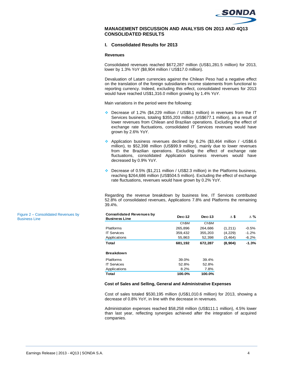

### **MANAGEMENT DISCUSSION AND ANALYSIS ON 2013 AND 4Q13 CONSOLIDATED RESULTS**

## **I. Consolidated Results for 2013**

#### **Revenues**

Consolidated revenues reached \$672,287 million (US\$1,281.5 million) for 2013, lower by 1.3% YoY (\$8,904 million / US\$17.0 million).

Devaluation of Latam currencies against the Chilean Peso had a negative effect on the translation of the foreign subsidiaries income statements from functional to reporting currency. Indeed, excluding this effect, consolidated revenues for 2013 would have reached US\$1,316.0 million growing by 1.4% YoY.

Main variations in the period were the following:

- Decrease of 1.2% (\$4,229 million / US\$8.1 million) in revenues from the IT Services business, totaling \$355,203 million (US\$677.1 million), as a result of lower revenues from Chilean and Brazilian operations. Excluding the effect of exchange rate fluctuations, consolidated IT Services revenues would have grown by 2.6% YoY.
- Application business revenues declined by 6.2% (\$3,464 million / -US\$6.6 million), to \$52,398 million (US\$99.9 million), mainly due to lower revenues from the Brazilian operations. Excluding the effect of exchange rate fluctuations, consolidated Application business revenues would have decreased by 0.9% YoY.
- Decrease of 0.5% (\$1,211 million / US\$2.3 million) in the Platforms business, reaching \$264,686 million (US\$504.5 million). Excluding the effect of exchange rate fluctuations, revenues would have grown by 0.2% YoY.

Regarding the revenue breakdown by business line, IT Services contributed 52.8% of consolidated revenues, Applications 7.8% and Platforms the remaining 39.4%.

| <b>Consolidated Revenues by</b><br><b>Business Line</b> | <b>Dec-12</b>     | $Dec-13$ | $\Delta$ \$ | $\Delta$ % |
|---------------------------------------------------------|-------------------|----------|-------------|------------|
|                                                         | Ch <sub>\$M</sub> | Ch\$M    |             |            |
| <b>Platforms</b>                                        | 265,896           | 264,686  | (1,211)     | $-0.5%$    |
| <b>IT Services</b>                                      | 359,432           | 355,203  | (4,229)     | $-1.2%$    |
| Applications                                            | 55,863            | 52,398   | (3, 464)    | $-6.2%$    |
| Total                                                   | 681,192           | 672,287  | (8,904)     | $-1.3%$    |
| <b>Breakdown</b>                                        |                   |          |             |            |
| Platforms                                               | 39.0%             | 39.4%    |             |            |
| <b>IT Services</b>                                      | 52.8%             | 52.8%    |             |            |
| Applications                                            | 8.2%              | 7.8%     |             |            |
| Total                                                   | 100.0%            | 100.0%   |             |            |

#### **Cost of Sales and Selling, General and Administrative Expenses**

Cost of sales totaled \$530,195 million (US\$1,010.6 million) for 2013, showing a decrease of 0.8% YoY, in line with the decrease in revenues.

Administration expenses reached \$58,258 million (US\$111.1 million), 4.5% lower than last year, reflecting synergies achieved after the integration of acquired companies.

Figure 2 – Consolidated Revenues by Business Line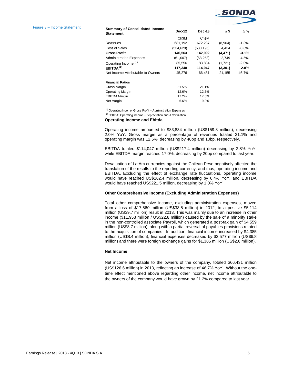

#### Figure 3 – Income Statement

| <b>Summary of Consolidated Income</b><br><b>Statement</b> | <b>Dec-12</b>     | Dec-13            | Δ\$      | $\wedge$ % |
|-----------------------------------------------------------|-------------------|-------------------|----------|------------|
|                                                           | Ch <sub>\$M</sub> | Ch <sub>\$M</sub> |          |            |
| Revenues                                                  | 681,192           | 672,287           | (8,904)  | $-1.3%$    |
| Cost of Sales                                             | (534, 629)        | (530, 195)        | 4.434    | $-0.8%$    |
| <b>Gross Profit</b>                                       | 146,563           | 142,092           | (4, 471) | $-3.1%$    |
| <b>Administration Expenses</b>                            | (61,007)          | (58, 258)         | 2.749    | -4.5%      |
| Operating Income <sup>(1)</sup>                           | 85,556            | 83,834            | (1,721)  | $-2.0%$    |
| EBITDA $(2)$                                              | 117,348           | 114,047           | (3,301)  | $-2.8%$    |
| Net Income Attributable to Owners                         | 45,276            | 66,431            | 21.155   | 46.7%      |
| <b>Financial Ratios</b>                                   |                   |                   |          |            |
| Gross Margin                                              | 21.5%             | 21.1%             |          |            |
| <b>Operating Margin</b>                                   | 12.6%             | 12.5%             |          |            |
| <b>EBITDA Margin</b>                                      | 17.2%             | 17.0%             |          |            |
| Net Margin                                                | 6.6%              | 9.9%              |          |            |

(1) Operating Income: Gross Profit – Administration Expenses

(2) EBITDA: Operating Income + Depreciation and Amortization

#### **Operating Income and Ebitda**

Operating income amounted to \$83,834 million (US\$159.8 million), decreasing 2.0% YoY. Gross margin as a percentage of revenues totaled 21.1% and operating margin was 12.5%, decreasing by 40bp and 10bp, respectively.

EBITDA totaled \$114,047 million (US\$217.4 million) decreasing by 2.8% YoY, while EBITDA margin reached 17.0%, decreasing by 20bp compared to last year.

Devaluation of LatAm currencies against the Chilean Peso negatively affected the translation of the results to the reporting currency, and thus, operating income and EBITDA. Excluding the effect of exchange rate fluctuations, operating income would have reached US\$162.4 million, decreasing by 0.4% YoY, and EBITDA would have reached US\$221.5 million, decreasing by 1.0% YoY.

#### **Other Comprehensive Income (Excluding Administration Expenses)**

Total other comprehensive income, excluding administration expenses, moved from a loss of \$17,560 million (US\$33.5 million) in 2012, to a positive \$5,114 million (US\$9.7 million) result in 2013. This was mainly due to an increase in other income (\$11,953 million / US\$22.8 million) caused by the sale of a minority stake in the non-controlled associate Payroll, which generated a post-tax gain of \$4,559 million (US\$8.7 million), along with a partial reversal of payables provisions related to the acquisition of companies. In addition, financial income increased by \$4,385 million (US\$8.4 million), financial expenses decreased by \$3,577 million (US\$6.8 million) and there were foreign exchange gains for \$1,385 million (US\$2.6 million).

#### **Net Income**

Net income attributable to the owners of the company, totaled \$66,431 million (US\$126.6 million) in 2013, reflecting an increase of 46.7% YoY. Without the onetime effect mentioned above regarding other income, net income attributable to the owners of the company would have grown by 21.2% compared to last year.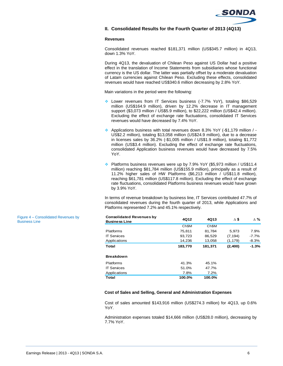

## **II. Consolidated Results for the Fourth Quarter of 2013 (4Q13)**

#### **Revenues**

Consolidated revenues reached \$181,371 million (US\$345.7 million) in 4Q13, down 1.3% YoY.

During 4Q13, the devaluation of Chilean Peso against US Dollar had a positive effect in the translation of Income Statements from subsidiaries whose functional currency is the US dollar. The latter was partially offset by a moderate devaluation of Latam currencies against Chilean Peso. Excluding these effects, consolidated revenues would have reached US\$340.6 million decreasing by 2.8% YoY.

Main variations in the period were the following:

- Lower revenues from IT Services business (-7.7% YoY), totaling \$86,529 million (US\$164.9 million), driven by 12.2% decrease in IT management support (\$3,073 million / US\$5.9 million), to \$22,222 million (US\$42.4 million). Excluding the effect of exchange rate fluctuations, consolidated IT Services revenues would have decreased by 7.4% YoY.
- Applications business with total revenues down 8.3% YoY (-\$1,179 million / US\$2.2 million), totaling \$13,058 million (US\$24.9 million), due to a decrease in licenses sales by 36.2% (-\$1,005 million / US\$1.9 million), totaling \$1,772 million (US\$3.4 million). Excluding the effect of exchange rate fluctuations, consolidated Application business revenues would have decreased by 7.5% YoY.
- Platforms business revenues were up by 7.9% YoY (\$5,973 million / US\$11.4 million) reaching \$81,784 million (US\$155.9 million), principally as a result of 11.2% higher sales of HW Platforms (\$6,213 million / US\$11.8 million), reaching \$61,781 million (US\$117.8 million). Excluding the effect of exchange rate fluctuations, consolidated Platforms business revenues would have grown by 3.9% YoY.

In terms of revenue breakdown by business line, IT Services contributed 47.7% of consolidated revenues during the fourth quarter of 2013, while Applications and Platforms represented 7.2% and 45.1% respectively.

| <b>Consolidated Revenues by</b><br><b>Business Line</b> | 4Q12    | 4Q13    | Δ\$      | Δ%      |
|---------------------------------------------------------|---------|---------|----------|---------|
|                                                         | Ch\$M   | Ch\$M   |          |         |
| Platforms                                               | 75,811  | 81,784  | 5,973    | 7.9%    |
| <b>IT Services</b>                                      | 93,723  | 86,529  | (7, 194) | -7.7%   |
| Applications                                            | 14,236  | 13,058  | (1, 179) | $-8.3%$ |
| Total                                                   | 183,770 | 181,371 | (2,400)  | $-1.3%$ |
| <b>Breakdown</b>                                        |         |         |          |         |
| Platforms                                               | 41.3%   | 45.1%   |          |         |
| <b>IT Services</b>                                      | 51.0%   | 47.7%   |          |         |
| Applications                                            | 7.8%    | 7.2%    |          |         |
| <b>Total</b>                                            | 100.0%  | 100.0%  |          |         |

## **Cost of Sales and Selling, General and Administration Expenses**

Cost of sales amounted \$143,916 million (US\$274.3 million) for 4Q13, up 0.6% YoY.

Administration expenses totaled \$14,666 million (US\$28.0 million), decreasing by 7.7% YoY.

Figure 4 – Consolidated Revenues by Business Line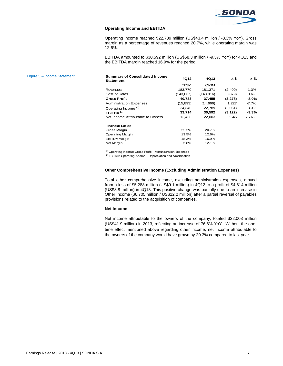

### **Operating Income and EBITDA**

Operating income reached \$22,789 million (US\$43.4 million / -8.3% YoY). Gross margin as a percentage of revenues reached 20.7%, while operating margin was 12.6%.

EBITDA amounted to \$30,592 million (US\$58.3 million / -9.3% YoY) for 4Q13 and the EBITDA margin reached 16.9% for the period.

| <b>Summary of Consolidated Income</b><br>Statement | 4Q12              | 4Q13              | $\Delta$ s | Δ%       |
|----------------------------------------------------|-------------------|-------------------|------------|----------|
|                                                    | Ch <sub>\$M</sub> | Ch <sub>\$M</sub> |            |          |
| Revenues                                           | 183,770           | 181,371           | (2,400)    | $-1.3%$  |
| Cost of Sales                                      | (143, 037)        | (143, 916)        | (879)      | 0.6%     |
| <b>Gross Profit</b>                                | 40,733            | 37,455            | (3,278)    | $-8.0\%$ |
| <b>Administration Expenses</b>                     | (15, 893)         | (14,666)          | 1,227      | $-7.7%$  |
| Operating Income <sup>(1)</sup>                    | 24.840            | 22.789            | (2,051)    | $-8.3%$  |
| EBITDA $(2)$                                       | 33,714            | 30,592            | (3, 122)   | $-9.3%$  |
| Net Income Attributable to Owners                  | 12,458            | 22,003            | 9,545      | 76.6%    |
| <b>Financial Ratios</b>                            |                   |                   |            |          |
| Gross Margin                                       | 22.2%             | 20.7%             |            |          |
| <b>Operating Margin</b>                            | 13.5%             | 12.6%             |            |          |
| <b>EBITDA Margin</b>                               | 18.3%             | 16.9%             |            |          |
| Net Margin                                         | 6.8%              | 12.1%             |            |          |

(1) Operating Income: Gross Profit – Administration Expenses

(2) EBITDA: Operating Income + Depreciation and Amortization

#### **Other Comprehensive Income (Excluding Administration Expenses)**

Total other comprehensive income, excluding administration expenses, moved from a loss of \$5,288 million (US\$9.1 million) in 4Q12 to a profit of \$4,614 million (US\$8.8 million) in 4Q13. This positive change was partially due to an increase in Other Income (\$6,705 million / US\$12.2 million) after a partial reversal of payables provisions related to the acquisition of companies.

#### **Net Income**

Net income attributable to the owners of the company, totaled \$22,003 million (US\$41.9 million) in 2013, reflecting an increase of 76.6% YoY. Without the onetime effect mentioned above regarding other income, net income attributable to the owners of the company would have grown by 20.3% compared to last year.

# Figure 5 – Income Statement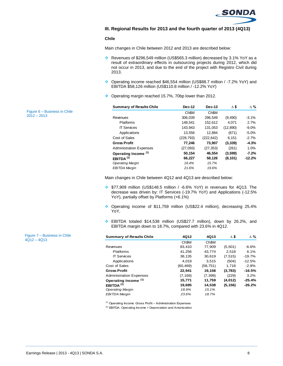

## **III. Regional Results for 2013 and the fourth quarter of 2013 (4Q13)**

#### **Chile**

Main changes in Chile between 2012 and 2013 are described below:

- Revenues of \$296,549 million (US\$565.3 million) decreased by 3.1% YoY as a result of extraordinary effects in outsourcing projects during 2012, which did not occur in 2013, and due to the end of the project with Registro Civil during 2013.
- Operating income reached \$46,554 million (US\$88.7 million / -7.2% YoY) and EBITDA \$58,126 million (US\$110.8 million / -12.2% YoY)
- Operating margin reached 15.7%, 70bp lower than 2012.

| <b>Summary of Results Chile</b> | <b>Dec-12</b>     | <b>Dec-13</b>     | Δ\$       | Δ%       |
|---------------------------------|-------------------|-------------------|-----------|----------|
|                                 | Ch <sub>\$M</sub> | Ch <sub>\$M</sub> |           |          |
| Revenues                        | 306.039           | 296.549           | (9,490)   | $-3.1%$  |
| <b>Platforms</b>                | 148.541           | 152,612           | 4.071     | 2.7%     |
| <b>IT Services</b>              | 143,943           | 131,053           | (12, 890) | $-9.0%$  |
| Applications                    | 13,556            | 12,884            | (671)     | $-5.0%$  |
| Cost of Sales                   | (228, 793)        | (222, 642)        | 6.151     | $-2.7%$  |
| <b>Gross Profit</b>             | 77.246            | 73,907            | (3, 339)  | $-4.3%$  |
| <b>Administration Expenses</b>  | (27,093)          | (27, 353)         | (261)     | 1.0%     |
| Operating Income <sup>(1)</sup> | 50.154            | 46,554            | (3,599)   | $-7.2\%$ |
| EBITDA <sup>(2)</sup>           | 66,227            | 58,126            | (8, 101)  | $-12.2%$ |
| <b>Operating Margin</b>         | 16.4%             | 15.7%             |           |          |
| <b>EBITDA Margin</b>            | 21.6%             | 19.6%             |           |          |

Main changes in Chile between 4Q12 and 4Q13 are described below:

- \$77,909 million (US\$148.5 million / -6.6% YoY) in revenues for 4Q13. The decrease was driven by: IT Services (-19.7% YoY) and Applications (-12.5% YoY), partially offset by Platforms (+6.1%)
- Operating income of \$11,759 million (US\$22.4 million), decreasing 25.4% YoY,
- EBITDA totaled \$14,538 million (US\$27.7 million), down by 26.2%, and EBITDA margin down to 18.7%, compared with 23.6% in 4Q12.

| <b>Summary of Results Chile</b> | 4Q12              | 4Q13              | Δ\$      | Δ%       |
|---------------------------------|-------------------|-------------------|----------|----------|
|                                 | Ch <sub>\$M</sub> | Ch <sub>\$M</sub> |          |          |
| Revenues                        | 83,410            | 77.909            | (5,501)  | $-6.6%$  |
| <b>Platforms</b>                | 41,256            | 43,774            | 2,518    | 6.1%     |
| <b>IT Services</b>              | 38,135            | 30.619            | (7, 515) | $-19.7%$ |
| Applications                    | 4.019             | 3.515             | (504)    | $-12.5%$ |
| Cost of Sales                   | (60, 469)         | (58, 751)         | 1.718    | $-2.8%$  |
| <b>Gross Profit</b>             | 22,941            | 19,158            | (3,783)  | $-16.5%$ |
| <b>Administration Expenses</b>  | (7, 169)          | (7, 399)          | (229)    | 3.2%     |
| Operating Income (1)            | 15,771            | 11,759            | (4,012)  | $-25.4%$ |
| EBITDA $(2)$                    | 19.695            | 14.538            | (5, 156) | $-26.2%$ |
| <b>Operating Margin</b>         | 18.9%             | 15.1%             |          |          |
| <b>EBITDA Margin</b>            | 23.6%             | 18.7%             |          |          |

 $(1)$  Operating Income: Gross Profit – Administration Expenses

(2) EBITDA: Operating Income + Depreciation and Amortization

Figure 6 – Business in Chile 2012 – 2013

Figure 7 – Business in Chile 4Q12 – 4Q13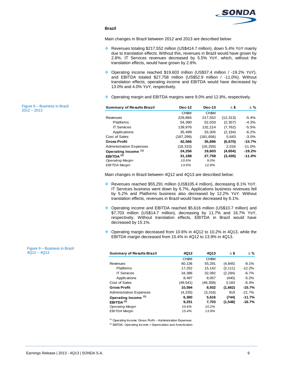

## **Brazil**

Main changes in Brazil between 2012 and 2013 are described below:

- Revenues totaling \$217,552 million (US\$414.7 million), down 5.4% YoY mainly due to translation effects. Without this, revenues in Brazil would have grown by 2.8%. IT Services revenues decreased by 5.5% YoY, which, without the translation effects, would have grown by 2.8%.
- Operating income reached \$19,603 million (US\$37.4 million / -19.2% YoY), and EBITDA totaled \$27,758 million (US\$52.9 million / -11.0%). Without translation effects, operating income and EBITDA would have decreased by 13.0% and 4.0% YoY, respectively.
- ◆ Operating margin and EBITDA margins were 9.0% and 12.8%, respectively.

| <b>Summary of Results Brazil</b> | <b>Dec-12</b>     | <b>Dec-13</b>     | Δ\$       | $\Delta \%$ |
|----------------------------------|-------------------|-------------------|-----------|-------------|
|                                  | Ch <sub>\$M</sub> | Ch <sub>\$M</sub> |           |             |
| Revenues                         | 229,865           | 217,552           | (12, 313) | $-5.4%$     |
| Platforms                        | 54,390            | 52,033            | (2, 357)  | $-4.3%$     |
| <b>IT Services</b>               | 139,976           | 132,214           | (7, 762)  | $-5.5%$     |
| Applications                     | 35.499            | 33.305            | (2, 194)  | $-6.2%$     |
| Cost of Sales                    | (187, 299)        | (181, 656)        | 5,643     | $-3.0%$     |
| <b>Gross Profit</b>              | 42,566            | 35,896            | (6, 670)  | $-15.7%$    |
| <b>Administration Expenses</b>   | (18, 310)         | (16, 293)         | 2,016     | $-11.0%$    |
| Operating Income <sup>(1)</sup>  | 24.256            | 19,603            | (4,654)   | $-19.2%$    |
| EBITDA <sup>(2)</sup>            | 31.188            | 27,758            | (3, 430)  | -11.0%      |
| <b>Operating Margin</b>          | 10.6%             | 9.0%              |           |             |
| <b>EBITDA Margin</b>             | 13.6%             | 12.8%             |           |             |

Main changes in Brazil between 4Q12 and 4Q13 are described below:

- Revenues reached \$55,291 million (US\$105.4 million), decreasing 8.1% YoY. IT Services business went down by 6.7%, Applications business revenues fell by 5.2% and Platforms business also decreased by 12.2% YoY. Without translation effects, revenues in Brazil would have decreased by 6.1%.
- ◆ Operating income and EBITDA reached \$5,616 million (US\$10.7 million) and \$7,703 million (US\$14.7 million), decreasing by 11.7% and 16.7% YoY, respectively. Without translation effects, EBITDA in Brazil would have decreased by 15.1%.
- $\div$  Operating margin decreased from 10.6% in 4Q12 to 10.2% in 4Q13, while the EBITDA margin decreased from 15.4% in 4Q12 to 13.9% in 4Q13.

| 4Q12-4Q13 | <b>Summary of Results Brazil</b> | 4Q12      | 4Q13              | $\Delta$ \$ | $\Delta \%$ |
|-----------|----------------------------------|-----------|-------------------|-------------|-------------|
|           |                                  | Ch\$M     | Ch <sub>\$M</sub> |             |             |
|           | Revenues                         | 60,136    | 55,291            | (4, 845)    | $-8.1%$     |
|           | <b>Platforms</b>                 | 17,252    | 15,142            | (2, 111)    | $-12.2%$    |
|           | <b>IT Services</b>               | 34,386    | 32,092            | (2, 294)    | $-6.7%$     |
|           | Applications                     | 8.497     | 8.057             | (440)       | $-5.2%$     |
|           | Cost of Sales                    | (49, 541) | (46, 358)         | 3,183       | $-6.4%$     |
|           | <b>Gross Profit</b>              | 10.594    | 8,932             | (1,662)     | $-15.7%$    |
|           | <b>Administration Expenses</b>   | (4,235)   | (3,316)           | 919         | $-21.7%$    |
|           | Operating Income (1)             | 6,360     | 5,616             | (744)       | $-11.7%$    |
|           | EBITDA $(2)$                     | 9,251     | 7,703             | (1, 548)    | $-16.7%$    |
|           | <b>Operating Margin</b>          | 10.6%     | 10.2%             |             |             |
|           | <b>EBITDA Margin</b>             | 15.4%     | 13.9%             |             |             |

(1) Operating Income: Gross Profit – Administration Expenses

(2) EBITDA: Operating Income + Depreciation and Amortization

Figure 8 – Business in Brazil  $2012 - 2013$ 

Figure 9 – Business in Brazil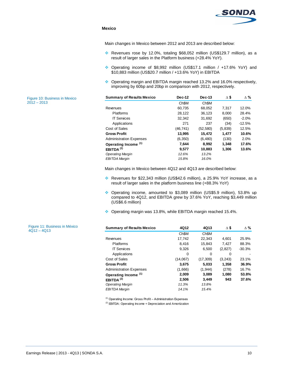

## **Mexico**

Main changes in Mexico between 2012 and 2013 are described below:

- Revenues rose by 12.0%, totaling \$68,052 million (US\$129.7 million), as a result of larger sales in the Platform business (+28.4% YoY).
- Operating income of \$8,992 million (US\$17.1 million / +17.6% YoY) and \$10,883 million (US\$20.7 million / +13.6% YoY) in EBITDA
- ◆ Operating margin and EBITDA margin reached 13.2% and 16.0% respectively, improving by 60bp and 20bp in comparison with 2012, respectively.

| <b>Summary of Results Mexico</b> | <b>Dec-12</b>     | $Dec-13$          | Δ\$      | $\Delta$ % |
|----------------------------------|-------------------|-------------------|----------|------------|
|                                  | Ch <sub>\$M</sub> | Ch <sub>\$M</sub> |          |            |
| Revenues                         | 60,735            | 68,052            | 7,317    | 12.0%      |
| <b>Platforms</b>                 | 28,122            | 36.123            | 8.000    | 28.4%      |
| <b>IT Services</b>               | 32,342            | 31,692            | (650)    | $-2.0%$    |
| Applications                     | 271               | 237               | (34)     | $-12.5%$   |
| Cost of Sales                    | (46, 741)         | (52, 580)         | (5, 839) | 12.5%      |
| <b>Gross Profit</b>              | 13,995            | 15,472            | 1.477    | 10.6%      |
| <b>Administration Expenses</b>   | (6, 350)          | (6,480)           | (130)    | 2.0%       |
| Operating Income <sup>(1)</sup>  | 7,644             | 8,992             | 1,348    | 17.6%      |
| EBITDA <sup>(2)</sup>            | 9.577             | 10.883            | 1,306    | 13.6%      |
| <b>Operating Margin</b>          | 12.6%             | 13.2%             |          |            |
| <b>EBITDA Margin</b>             | 15.8%             | 16.0%             |          |            |

Main changes in Mexico between 4Q12 and 4Q13 are described below:

- Revenues for \$22,343 million (US\$42.6 million), a 25.9% YoY increase, as a result of larger sales in the platform business line (+88.3% YoY)
- Operating income, amounted to \$3,089 million (US\$5.9 million), 53.8% up compared to 4Q12, and EBITDA grew by 37.6% YoY, reaching \$3,449 million (US\$6.6 million)
- Operating margin was 13.8%, while EBITDA margin reached 15.4%.

| <b>Summary of Results Mexico</b> | 4Q12     | 4Q13              | Δ\$      | $\Delta \%$ |
|----------------------------------|----------|-------------------|----------|-------------|
|                                  | Ch\$M    | Ch <sub>\$M</sub> |          |             |
| Revenues                         | 17,742   | 22,343            | 4,601    | 25.9%       |
| <b>Platforms</b>                 | 8,416    | 15,843            | 7,427    | 88.3%       |
| <b>IT Services</b>               | 9.326    | 6.500             | (2,827)  | $-30.3%$    |
| Applications                     | 0        | $\Omega$          | 0        |             |
| Cost of Sales                    | (14,067) | (17, 309)         | (3, 243) | 23.1%       |
| <b>Gross Profit</b>              | 3,675    | 5,033             | 1,358    | 36.9%       |
| <b>Administration Expenses</b>   | (1,666)  | (1, 944)          | (278)    | 16.7%       |
| Operating Income <sup>(1)</sup>  | 2,009    | 3,089             | 1.080    | 53.8%       |
| EBITDA <sup>(2)</sup>            | 2.506    | 3.449             | 943      | 37.6%       |
| <b>Operating Margin</b>          | 11.3%    | 13.8%             |          |             |
| <b>EBITDA Margin</b>             | 14.1%    | 15.4%             |          |             |

(1) Operating Income: Gross Profit – Administration Expenses

(2) EBITDA: Operating Income + Depreciation and Amortization

Figure 10: Business in Mexico  $2012 - 2013$ 

Figure 11: Business in México

4Q12 – 4Q13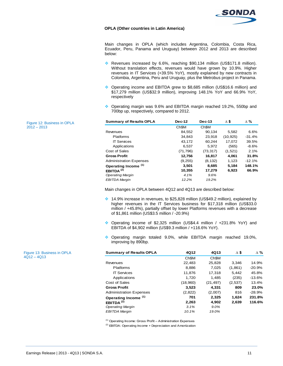

#### **OPLA (Other countries in Latin America)**

Main changes in OPLA (which includes Argentina, Colombia, Costa Rica, Ecuador, Peru, Panama and Uruguay) between 2012 and 2013 are described below:

- \* Revenues increased by 6.6%, reaching \$90,134 million (US\$171.8 million). Without translation effects, revenues would have grown by 10.9%. Higher revenues in IT Services (+39.5% YoY), mostly explained by new contracts in Colombia, Argentina, Peru and Uruguay, plus the Metrobus project in Panama.
- Operating income and EBITDA grew to \$8,685 million (US\$16.6 million) and \$17,279 million (US\$32.9 million), improving 148.1% YoY and 66.9% YoY, respectively
- ◆ Operating margin was 9.6% and EBITDA margin reached 19.2%, 550bp and 700bp up, respectively, compared to 2012.

| <b>Summary of Results OPLA</b> | $Dec-13$<br><b>Dec-12</b> |                   | Δ\$       | $\Delta$ % |  |
|--------------------------------|---------------------------|-------------------|-----------|------------|--|
|                                | Ch <sub>\$M</sub>         | Ch <sub>\$M</sub> |           |            |  |
| Revenues                       | 84,552                    | 90,134            | 5,582     | 6.6%       |  |
| <b>Platforms</b>               | 34,843                    | 23,918            | (10, 925) | $-31.4%$   |  |
| <b>IT Services</b>             | 43,172                    | 60,244            | 17.072    | 39.5%      |  |
| Applications                   | 6,537                     | 5,972             | (565)     | -8.6%      |  |
| Cost of Sales                  | (71, 796)                 | (73, 317)         | (1,521)   | 2.1%       |  |
| <b>Gross Profit</b>            | 12,756                    | 16,817            | 4,061     | 31.8%      |  |
| <b>Administration Expenses</b> | (9, 255)                  | (8, 132)          | 1,123     | $-12.1%$   |  |
| Operating Income (1)           | 3.501                     | 8,685             | 5,184     | 148.1%     |  |
| EBITDA $(2)$                   | 10,355                    | 17,279            | 6,923     | 66.9%      |  |
| <b>Operating Margin</b>        | 4.1%                      | 9.6%              |           |            |  |
| <b>EBITDA Margin</b>           | 12.2%                     | 19.2%             |           |            |  |

Main changes in OPLA between 4Q12 and 4Q13 are described below:

- $\cdot$  14.9% increase in revenues, to \$25,828 million (US\$49.2 million), explained by higher revenues in the IT Services business for \$17,318 million (US\$33.0 million / +45.8%), partially offset by lower Platforms revenues with a decrease of \$1,861 million (US\$3.5 million / -20.9%)
- Operating income of \$2,325 million (US\$4.4 million / +231.8% YoY) and EBITDA of \$4,902 million (US\$9.3 million / +116.6% YoY).
- Operating margin totaled 9.0%, while EBITDA margin reached 19.0%, improving by 890bp.

| <b>Summary of Results OPLA</b> | 4Q12              | 4Q13              | Δ\$     | $\Delta \%$ |
|--------------------------------|-------------------|-------------------|---------|-------------|
|                                | Ch <sub>\$M</sub> | Ch <sub>\$M</sub> |         |             |
| Revenues                       | 22,483            | 25,828            | 3.346   | 14.9%       |
| <b>Platforms</b>               | 8.886             | 7.025             | (1,861) | $-20.9%$    |
| <b>IT Services</b>             | 11,876            | 17,318            | 5,442   | 45.8%       |
| Applications                   | 1,720             | 1.485             | (235)   | $-13.6%$    |
| Cost of Sales                  | (18,960)          | (21, 497)         | (2,537) | 13.4%       |
| <b>Gross Profit</b>            | 3,523             | 4,331             | 809     | 23.0%       |
| <b>Administration Expenses</b> | (2,822)           | (2,007)           | 816     | $-28.9%$    |
| Operating Income (1)           | 701               | 2.325             | 1.624   | 231.8%      |
| EBITDA $(2)$                   | 2,263             | 4,902             | 2,639   | 116.6%      |
| <b>Operating Margin</b>        | 3.1%              | 9.0%              |         |             |
| <b>EBITDA Margin</b>           | 10.1%             | 19.0%             |         |             |

(1) Operating Income: Gross Profit – Administration Expenses

<sup>(2)</sup> EBITDA: Operating Income + Depreciation and Amortization

Figure 12: Business in OPLA  $2012 - 2013$ 

Figure 13: Business in OPLA 4Q12 – 4Q13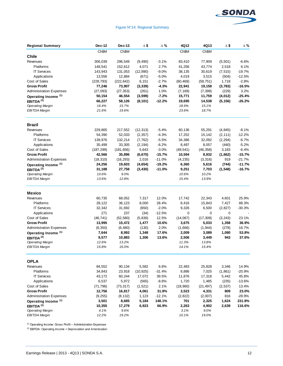

## Figure N°14: Regional Summary

| <b>Regional Summary</b>         | Dec-12     | Dec-13     | $\Delta$ \$ | $\Delta$ % | 4Q12      | 4Q13      | Δ\$      | $\Delta$ % |
|---------------------------------|------------|------------|-------------|------------|-----------|-----------|----------|------------|
|                                 | Ch\$M      | Ch\$M      |             |            | Ch\$M     | Ch\$M     |          |            |
| <b>Chile</b>                    |            |            |             |            |           |           |          |            |
| Revenues                        | 306,039    | 296,549    | (9,490)     | $-3.1%$    | 83,410    | 77,909    | (5,501)  | $-6.6%$    |
| Platforms                       | 148,541    | 152,612    | 4,071       | 2.7%       | 41,256    | 43,774    | 2,518    | 6.1%       |
| <b>IT Services</b>              | 143,943    | 131,053    | (12, 890)   | $-9.0\%$   | 38,135    | 30,619    | (7, 515) | $-19.7%$   |
| Applications                    | 13,556     | 12,884     | (671)       | $-5.0%$    | 4,019     | 3,515     | (504)    | $-12.5%$   |
| Cost of Sales                   | (228, 793) | (222, 642) | 6,151       | $-2.7%$    | (60, 469) | (58, 751) | 1,718    | $-2.8%$    |
| <b>Gross Profit</b>             | 77,246     | 73,907     | (3, 339)    | $-4.3%$    | 22,941    | 19,158    | (3,783)  | $-16.5%$   |
| <b>Administration Expenses</b>  | (27,093)   | (27, 353)  | (261)       | 1.0%       | (7, 169)  | (7, 399)  | (229)    | 3.2%       |
| Operating Income <sup>(1)</sup> | 50,154     | 46,554     | (3, 599)    | $-7.2%$    | 15,771    | 11,759    | (4, 012) | $-25.4%$   |
| EBITDA <sup>(2)</sup>           | 66,227     | 58,126     | (8, 101)    | $-12.2%$   | 19,695    | 14,538    | (5, 156) | $-26.2%$   |
| <b>Operating Margin</b>         | 16.4%      | 15.7%      |             |            | 18.9%     | 15.1%     |          |            |
| <b>EBITDA Margin</b>            | 21.6%      | 19.6%      |             |            | 23.6%     | 18.7%     |          |            |
| <b>Brazil</b>                   |            |            |             |            |           |           |          |            |
| Revenues                        | 229,865    | 217,552    | (12, 313)   | $-5.4%$    | 60,136    | 55,291    | (4, 845) | $-8.1%$    |
| Platforms                       | 54,390     | 52,033     | (2, 357)    | $-4.3%$    | 17,252    | 15,142    | (2, 111) | $-12.2%$   |
| <b>IT Services</b>              | 139,976    | 132,214    | (7, 762)    | $-5.5%$    | 34,386    | 32,092    | (2, 294) | $-6.7%$    |
| Applications                    | 35,499     | 33,305     | (2, 194)    | $-6.2%$    | 8,497     | 8,057     | (440)    | $-5.2%$    |
| Cost of Sales                   | (187, 299) | (181, 656) | 5,643       | $-3.0%$    | (49, 541) | (46, 358) | 3,183    | $-6.4%$    |
| <b>Gross Profit</b>             | 42,566     | 35,896     | (6, 670)    | $-15.7%$   | 10,594    | 8,932     | (1,662)  | $-15.7%$   |
| <b>Administration Expenses</b>  | (18, 310)  | (16, 293)  | 2,016       | $-11.0%$   | (4, 235)  | (3,316)   | 919      | $-21.7%$   |
| Operating Income <sup>(1)</sup> | 24,256     | 19,603     | (4,654)     | $-19.2%$   | 6,360     | 5,616     | (744)    | $-11.7%$   |
| EBITDA <sup>(2)</sup>           | 31,188     | 27,758     | (3, 430)    | $-11.0%$   | 9,251     | 7,703     | (1, 548) | $-16.7%$   |
| <b>Operating Margin</b>         | 10.6%      | 9.0%       |             |            | 10.6%     | 10.2%     |          |            |
| EBITDA Margin                   | 13.6%      | 12.8%      |             |            | 15.4%     | 13.9%     |          |            |
| <b>Mexico</b>                   |            |            |             |            |           |           |          |            |
| Revenues                        | 60,735     | 68,052     | 7,317       | 12.0%      | 17,742    | 22,343    | 4,601    | 25.9%      |
| Platforms                       | 28,122     | 36,123     | 8,000       | 28.4%      | 8,416     | 15,843    | 7,427    | 88.3%      |
| <b>IT Services</b>              | 32,342     | 31,692     | (650)       | $-2.0%$    | 9,326     | 6,500     | (2,827)  | $-30.3%$   |
| Applications                    | 271        | 237        | (34)        | $-12.5%$   | 0         | 0         | 0        |            |
| Cost of Sales                   | (46, 741)  | (52, 580)  | (5,839)     | 12.5%      | (14,067)  | (17, 309) | (3, 243) | 23.1%      |
| <b>Gross Profit</b>             | 13,995     | 15,472     | 1,477       | 10.6%      | 3,675     | 5,033     | 1,358    | 36.9%      |
| <b>Administration Expenses</b>  | (6, 350)   | (6, 480)   | (130)       | 2.0%       | (1,666)   | (1, 944)  | (278)    | 16.7%      |
| Operating Income <sup>(1)</sup> | 7,644      | 8,992      | 1,348       | 17.6%      | 2,009     | 3,089     | 1,080    | 53.8%      |
| EBITDA $(2)$                    | 9,577      | 10,883     | 1,306       | 13.6%      | 2,506     | 3,449     | 943      | 37.6%      |
| <b>Operating Margin</b>         | 12.6%      | 13.2%      |             |            | 11.3%     | 13.8%     |          |            |
| EBITDA Margin                   | 15.8%      | 16.0%      |             |            | 14.1%     | 15.4%     |          |            |
| <b>OPLA</b>                     |            |            |             |            |           |           |          |            |
| Revenues                        | 84,552     | 90,134     | 5,582       | 6.6%       | 22,483    | 25,828    | 3,346    | 14.9%      |
| Platforms                       | 34,843     | 23,918     | (10, 925)   | $-31.4%$   | 8,886     | 7,025     | (1,861)  | $-20.9%$   |
| <b>IT Services</b>              | 43,172     | 60,244     | 17,072      | 39.5%      | 11,876    | 17,318    | 5,442    | 45.8%      |
| Applications                    | 6,537      | 5,972      | (565)       | $-8.6%$    | 1,720     | 1,485     | (235)    | $-13.6%$   |
| Cost of Sales                   | (71, 796)  | (73, 317)  | (1,521)     | 2.1%       | (18,960)  | (21, 497) | (2,537)  | 13.4%      |
| <b>Gross Profit</b>             | 12,756     | 16,817     | 4,061       | 31.8%      | 3,523     | 4,331     | 809      | 23.0%      |
| <b>Administration Expenses</b>  | (9, 255)   | (8, 132)   | 1,123       | $-12.1%$   | (2,822)   | (2,007)   | 816      | $-28.9%$   |
| Operating Income (1)            | 3,501      | 8,685      | 5,184       | 148.1%     | 701       | 2,325     | 1,624    | 231.8%     |
| EBITDA $(2)$                    | 10,355     | 17,279     | 6,923       | 66.9%      | 2,263     | 4,902     | 2,639    | 116.6%     |
| <b>Operating Margin</b>         | 4.1%       | 9.6%       |             |            | 3.1%      | 9.0%      |          |            |
| <b>EBITDA Margin</b>            | 12.2%      | 19.2%      |             |            | 10.1%     | 19.0%     |          |            |

(1) Operating Income: Gross Profit – Administration Expenses

 $<sup>(2)</sup>$  EBITDA: Operating Income  $+$  Depreciation and Amortization</sup>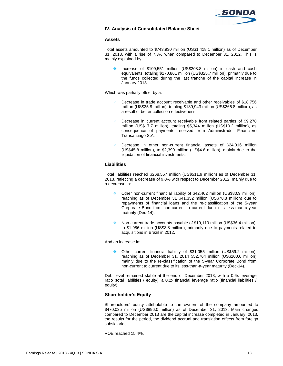

## **IV. Analysis of Consolidated Balance Sheet**

## **Assets**

Total assets amounted to \$743,930 million (US\$1,418.1 million) as of December 31, 2013, with a rise of 7.3% when compared to December 31, 2012. This is mainly explained by:

 Increase of \$109,551 million (US\$208.8 million) in cash and cash equivalents, totaling \$170,861 million (US\$325.7 million), primarily due to the funds collected during the last tranche of the capital increase in January 2013.

Which was partially offset by a:

- Decrease in trade account receivable and other receivables of \$18,756 million (US\$35.8 million), totaling \$139,943 million (US\$266.8 million), as a result of better collection effectiveness.
- Decrease in current account receivable from related parties of \$9,278 million (US\$17.7 million), totaling \$5,344 million (US\$10.2 million), as consequence of payments received from Administrador Financiero Transantiago S.A.
- Decrease in other non-current financial assets of \$24,016 million (US\$45.8 million), to \$2,390 million (US\$4.6 million), mainly due to the liquidation of financial investments.

## **Liabilities**

Total liabilities reached \$268,557 million (US\$511.9 million) as of December 31, 2013, reflecting a decrease of 9.0% with respect to December 2012, mainly due to a decrease in:

- Other non-current financial liability of \$42,462 million (US\$80.9 million), reaching as of December 31 \$41,352 million (US\$78.8 million) due to repayments of financial loans and the re-classification of the 5-year Corporate Bond from non-current to current due to its less-than-a-year maturity (Dec-14).
- Non-current trade accounts payable of \$19,119 million (US\$36.4 million), to \$1,986 million (US\$3.8 million), primarily due to payments related to acquisitions in Brazil in 2012.

And an increase in:

 Other current financial liability of \$31,055 million (US\$59.2 million), reaching as of December 31, 2014 \$52,764 million (US\$100.6 million) mainly due to the re-classification of the 5-year Corporate Bond from non-current to current due to its less-than-a-year maturity (Dec-14).

Debt level remained stable at the end of December 2013, with a 0.6x leverage ratio (total liabilities / equity), a 0.2x financial leverage ratio (financial liabilities / equity).

# **Shareholder's Equity**

Shareholders' equity attributable to the owners of the company amounted to \$470,025 million (US\$896.0 million) as of December 31, 2013. Main changes compared to December 2013 are the capital increase completed in January, 2013, the results for the period, the dividend accrual and translation effects from foreign subsidiaries.

ROE reached 15.4%.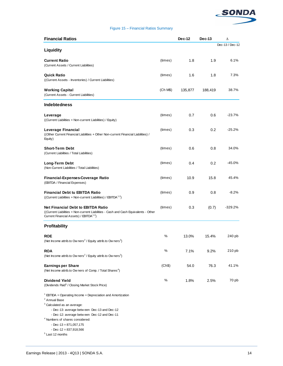

## Figure 15 – Financial Ratios Summary

| <b>Financial Ratios</b>                                                                            |          | Dec-12  | $Dec-13$ | Δ               |
|----------------------------------------------------------------------------------------------------|----------|---------|----------|-----------------|
|                                                                                                    |          |         |          | Dec-13 / Dec-12 |
| Liquidity                                                                                          |          |         |          |                 |
| <b>Current Ratio</b>                                                                               | (times)  | 1.8     | 1.9      | 6.1%            |
| (Current Assets / Current Liabilities)                                                             |          |         |          |                 |
|                                                                                                    |          |         |          |                 |
| <b>Quick Ratio</b>                                                                                 | (times)  | 1.6     | 1.8      | 7.3%            |
| ((Current Assets - Inventories) / Current Liabilities)                                             |          |         |          |                 |
| <b>Working Capital</b>                                                                             | (Ch M\$) | 135,877 | 188,419  | 38.7%           |
| (Current Assets - Current Liabilities)                                                             |          |         |          |                 |
| <b>Indebtedness</b>                                                                                |          |         |          |                 |
| Leverage                                                                                           | (times)  | 0.7     | 0.6      | $-23.7%$        |
| ((Current Liabilities + Non-current Liabilities) / Equity)                                         |          |         |          |                 |
|                                                                                                    |          |         |          |                 |
| Leverage Financial                                                                                 | (times)  | 0.3     | 0.2      | $-25.2%$        |
| ((Other Current Financial Liabilities + Other Non-current Financial Liabilities) /<br>Equity)      |          |         |          |                 |
|                                                                                                    |          |         |          |                 |
| <b>Short-Term Debt</b>                                                                             | (times)  | 0.6     | 0.8      | 34.0%           |
| (Current Liabilities / Total Liabilities)                                                          |          |         |          |                 |
| Long-Term Debt                                                                                     | (times)  | 0.4     | 0.2      | -45.0%          |
| (Non-Current Liabilities / Total Liabilities)                                                      |          |         |          |                 |
|                                                                                                    |          |         |          | 45.4%           |
| Financial-Expenses-Coverage Ratio<br>(EBITDA / Financial Expenses)                                 | (times)  | 10.9    | 15.8     |                 |
|                                                                                                    |          |         |          |                 |
| <b>Financial Debt tu EBITDA Ratio</b>                                                              | (times)  | 0.9     | 0.8      | $-8.2%$         |
| ((Current Liabilities + Non-current Liabilities) / EBITDA <sup>1,2</sup> )                         |          |         |          |                 |
| <b>Net Financial Debt to EBITDA Ratio</b>                                                          | (times)  | 0.3     | (0.7)    | $-329.2%$       |
| ((Current Liabilities + Non-current Liabilities - Cash and Cash Equivalents - Other                |          |         |          |                 |
| Current Financial Assets) / EBITDA <sup>1,2</sup> )                                                |          |         |          |                 |
| Profitability                                                                                      |          |         |          |                 |
|                                                                                                    |          |         |          |                 |
| <b>ROE</b><br>(Net Income attrib.to Ow ners <sup>2</sup> / Equity attrib.to Ow ners <sup>3</sup> ) | %        | 13.0%   | 15.4%    | 240 pb          |
|                                                                                                    |          |         |          |                 |
| <b>ROA</b>                                                                                         | %        | 7.1%    | 9.2%     | 210 pb          |
| (Net Income attrib.to Owners <sup>2</sup> / Equity attrib.to Owners <sup>3</sup> )                 |          |         |          |                 |
| <b>Earnings per Share</b>                                                                          | (Ch\$)   | 54.0    | 76.3     | 41.1%           |
| (Net Income attrib.to Owners of Comp. / Total Shares <sup>4</sup> )                                |          |         |          |                 |
|                                                                                                    |          |         |          |                 |
| <b>Dividend Yield</b>                                                                              | %        | 1.8%    | 2.5%     | 70 pb           |
| (Dividends Paid <sup>5</sup> / Closing Market Stock Price)                                         |          |         |          |                 |
| $1$ EBTIDA = Operating Income + Depreciation and Amortization                                      |          |         |          |                 |
| <sup>2</sup> Annual Base                                                                           |          |         |          |                 |
| <sup>3</sup> Calculated as an average:                                                             |          |         |          |                 |
| - Dec-13: average betw een Dec-13 and Dec-12<br>- Dec-12: average between Dec-12 and Dec-11        |          |         |          |                 |
| <sup>4</sup> Numbers of shares considered:                                                         |          |         |          |                 |
| $-$ Dec $-13 = 871,057,175$                                                                        |          |         |          |                 |
| $-$ Dec $-12 = 837,918,566$                                                                        |          |         |          |                 |
| <sup>5</sup> Last 12 months                                                                        |          |         |          |                 |